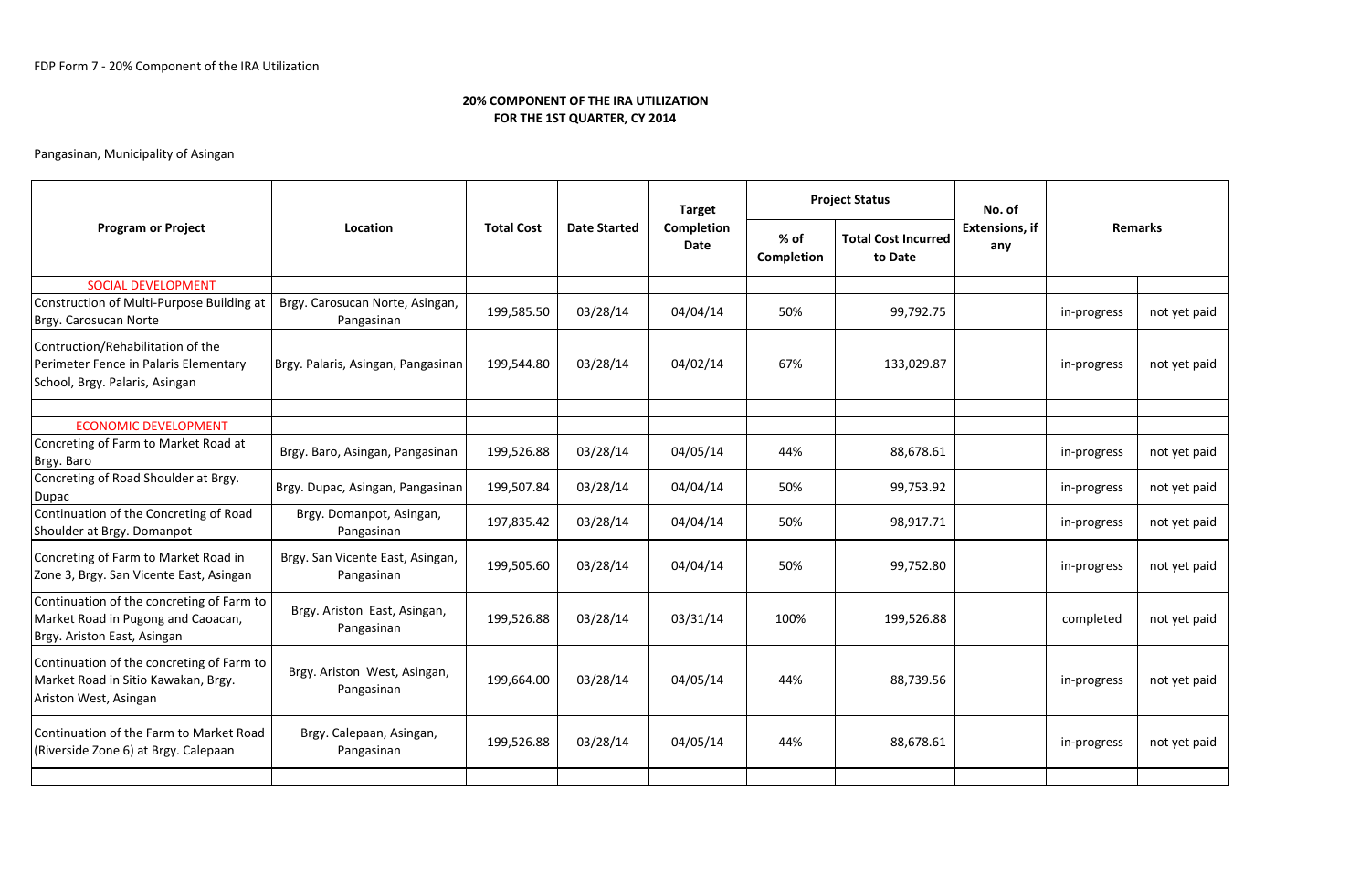## 20% COMPONENT OF THE IRA UTILIZATIONFOR THE 1ST QUARTER, CY 2014

# Pangasinan, Municipality of Asingan

| <b>Program or Project</b>                                                                                      | Location                                       | <b>Total Cost</b> | <b>Date Started</b> | <b>Target</b><br>Completion<br>Date | <b>Project Status</b> |                                       | No. of                       |                |              |
|----------------------------------------------------------------------------------------------------------------|------------------------------------------------|-------------------|---------------------|-------------------------------------|-----------------------|---------------------------------------|------------------------------|----------------|--------------|
|                                                                                                                |                                                |                   |                     |                                     | $%$ of<br>Completion  | <b>Total Cost Incurred</b><br>to Date | <b>Extensions, if</b><br>any | <b>Remarks</b> |              |
| <b>SOCIAL DEVELOPMENT</b>                                                                                      |                                                |                   |                     |                                     |                       |                                       |                              |                |              |
| Construction of Multi-Purpose Building at<br>Brgy. Carosucan Norte                                             | Brgy. Carosucan Norte, Asingan,<br>Pangasinan  | 199,585.50        | 03/28/14            | 04/04/14                            | 50%                   | 99,792.75                             |                              | in-progress    | not yet paid |
| Contruction/Rehabilitation of the<br>Perimeter Fence in Palaris Elementary<br>School, Brgy. Palaris, Asingan   | Brgy. Palaris, Asingan, Pangasinan             | 199,544.80        | 03/28/14            | 04/02/14                            | 67%                   | 133,029.87                            |                              | in-progress    | not yet paid |
|                                                                                                                |                                                |                   |                     |                                     |                       |                                       |                              |                |              |
| <b>ECONOMIC DEVELOPMENT</b><br>Concreting of Farm to Market Road at<br>Brgy. Baro                              | Brgy. Baro, Asingan, Pangasinan                | 199,526.88        | 03/28/14            | 04/05/14                            | 44%                   | 88,678.61                             |                              | in-progress    | not yet paid |
| Concreting of Road Shoulder at Brgy.<br>Dupac                                                                  | Brgy. Dupac, Asingan, Pangasinan               | 199,507.84        | 03/28/14            | 04/04/14                            | 50%                   | 99,753.92                             |                              | in-progress    | not yet paid |
| Continuation of the Concreting of Road<br>Shoulder at Brgy. Domanpot                                           | Brgy. Domanpot, Asingan,<br>Pangasinan         | 197,835.42        | 03/28/14            | 04/04/14                            | 50%                   | 98,917.71                             |                              | in-progress    | not yet paid |
| Concreting of Farm to Market Road in<br>Zone 3, Brgy. San Vicente East, Asingan                                | Brgy. San Vicente East, Asingan,<br>Pangasinan | 199,505.60        | 03/28/14            | 04/04/14                            | 50%                   | 99,752.80                             |                              | in-progress    | not yet paid |
| Continuation of the concreting of Farm to<br>Market Road in Pugong and Caoacan,<br>Brgy. Ariston East, Asingan | Brgy. Ariston East, Asingan,<br>Pangasinan     | 199,526.88        | 03/28/14            | 03/31/14                            | 100%                  | 199,526.88                            |                              | completed      | not yet paid |
| Continuation of the concreting of Farm to<br>Market Road in Sitio Kawakan, Brgy.<br>Ariston West, Asingan      | Brgy. Ariston West, Asingan,<br>Pangasinan     | 199,664.00        | 03/28/14            | 04/05/14                            | 44%                   | 88,739.56                             |                              | in-progress    | not yet paid |
| Continuation of the Farm to Market Road<br>(Riverside Zone 6) at Brgy. Calepaan                                | Brgy. Calepaan, Asingan,<br>Pangasinan         | 199,526.88        | 03/28/14            | 04/05/14                            | 44%                   | 88,678.61                             |                              | in-progress    | not yet paid |
|                                                                                                                |                                                |                   |                     |                                     |                       |                                       |                              |                |              |